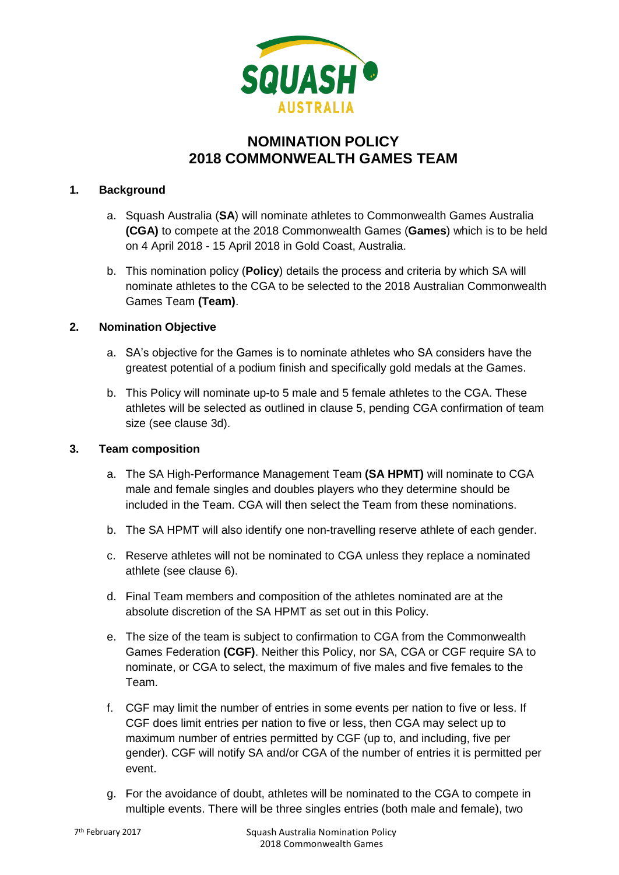

# **NOMINATION POLICY 2018 COMMONWEALTH GAMES TEAM**

## **1. Background**

- a. Squash Australia (**SA**) will nominate athletes to Commonwealth Games Australia **(CGA)** to compete at the 2018 Commonwealth Games (**Games**) which is to be held on 4 April 2018 - 15 April 2018 in Gold Coast, Australia.
- b. This nomination policy (**Policy**) details the process and criteria by which SA will nominate athletes to the CGA to be selected to the 2018 Australian Commonwealth Games Team **(Team)**.

# **2. Nomination Objective**

- a. SA's objective for the Games is to nominate athletes who SA considers have the greatest potential of a podium finish and specifically gold medals at the Games.
- b. This Policy will nominate up-to 5 male and 5 female athletes to the CGA. These athletes will be selected as outlined in clause 5, pending CGA confirmation of team size (see clause 3d).

### **3. Team composition**

- a. The SA High-Performance Management Team **(SA HPMT)** will nominate to CGA male and female singles and doubles players who they determine should be included in the Team. CGA will then select the Team from these nominations.
- b. The SA HPMT will also identify one non-travelling reserve athlete of each gender.
- c. Reserve athletes will not be nominated to CGA unless they replace a nominated athlete (see clause 6).
- d. Final Team members and composition of the athletes nominated are at the absolute discretion of the SA HPMT as set out in this Policy.
- e. The size of the team is subject to confirmation to CGA from the Commonwealth Games Federation **(CGF)**. Neither this Policy, nor SA, CGA or CGF require SA to nominate, or CGA to select, the maximum of five males and five females to the Team.
- f. CGF may limit the number of entries in some events per nation to five or less. If CGF does limit entries per nation to five or less, then CGA may select up to maximum number of entries permitted by CGF (up to, and including, five per gender). CGF will notify SA and/or CGA of the number of entries it is permitted per event.
- g. For the avoidance of doubt, athletes will be nominated to the CGA to compete in multiple events. There will be three singles entries (both male and female), two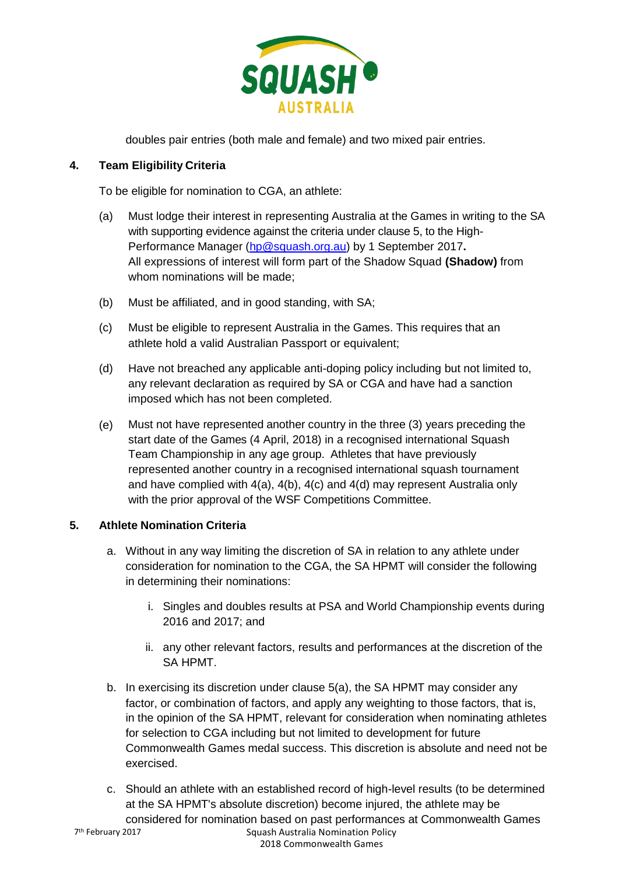

doubles pair entries (both male and female) and two mixed pair entries.

# **4. Team Eligibility Criteria**

To be eligible for nomination to CGA, an athlete:

- (a) Must lodge their interest in representing Australia at the Games in writing to the SA with supporting evidence against the criteria under clause 5, to the High-Performance Manager [\(hp@squash.org.au\)](mailto:hp@squash.org.au) by 1 September 2017**.**  All expressions of interest will form part of the Shadow Squad **(Shadow)** from whom nominations will be made;
- (b) Must be affiliated, and in good standing, with SA;
- (c) Must be eligible to represent Australia in the Games. This requires that an athlete hold a valid Australian Passport or equivalent;
- (d) Have not breached any applicable anti-doping policy including but not limited to, any relevant declaration as required by SA or CGA and have had a sanction imposed which has not been completed.
- (e) Must not have represented another country in the three (3) years preceding the start date of the Games (4 April, 2018) in a recognised international Squash Team Championship in any age group. Athletes that have previously represented another country in a recognised international squash tournament and have complied with  $4(a)$ ,  $4(b)$ ,  $4(c)$  and  $4(d)$  may represent Australia only with the prior approval of the WSF Competitions Committee.

# **5. Athlete Nomination Criteria**

- a. Without in any way limiting the discretion of SA in relation to any athlete under consideration for nomination to the CGA, the SA HPMT will consider the following in determining their nominations:
	- i. Singles and doubles results at PSA and World Championship events during 2016 and 2017; and
	- ii. any other relevant factors, results and performances at the discretion of the SA HPMT.
- b. In exercising its discretion under clause 5(a), the SA HPMT may consider any factor, or combination of factors, and apply any weighting to those factors, that is, in the opinion of the SA HPMT, relevant for consideration when nominating athletes for selection to CGA including but not limited to development for future Commonwealth Games medal success. This discretion is absolute and need not be exercised.
- Squash Australia Nomination Policy c. Should an athlete with an established record of high-level results (to be determined at the SA HPMT's absolute discretion) become injured, the athlete may be considered for nomination based on past performances at Commonwealth Games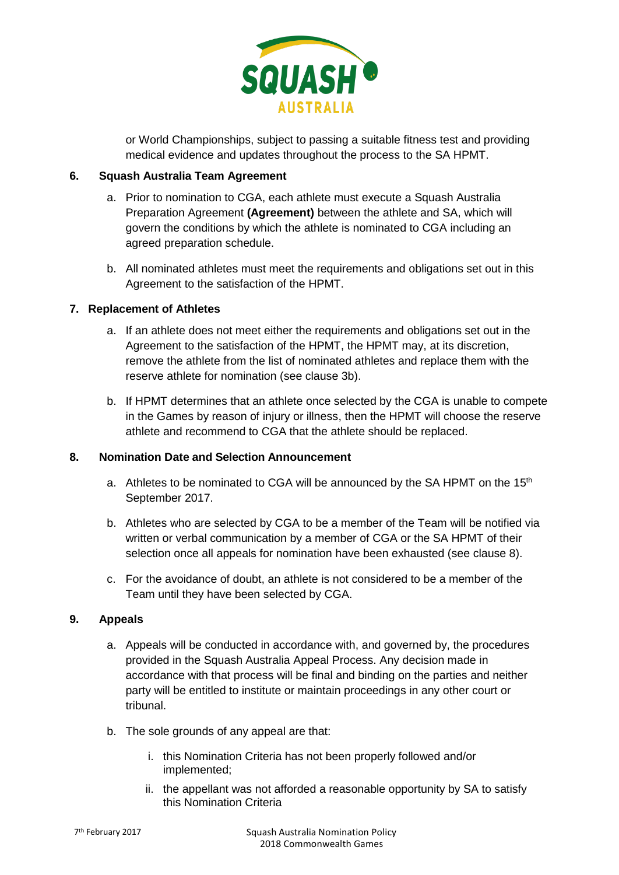

or World Championships, subject to passing a suitable fitness test and providing medical evidence and updates throughout the process to the SA HPMT.

## **6. Squash Australia Team Agreement**

- a. Prior to nomination to CGA, each athlete must execute a Squash Australia Preparation Agreement **(Agreement)** between the athlete and SA, which will govern the conditions by which the athlete is nominated to CGA including an agreed preparation schedule.
- b. All nominated athletes must meet the requirements and obligations set out in this Agreement to the satisfaction of the HPMT.

## **7. Replacement of Athletes**

- a. If an athlete does not meet either the requirements and obligations set out in the Agreement to the satisfaction of the HPMT, the HPMT may, at its discretion, remove the athlete from the list of nominated athletes and replace them with the reserve athlete for nomination (see clause 3b).
- b. If HPMT determines that an athlete once selected by the CGA is unable to compete in the Games by reason of injury or illness, then the HPMT will choose the reserve athlete and recommend to CGA that the athlete should be replaced.

### **8. Nomination Date and Selection Announcement**

- a. Athletes to be nominated to CGA will be announced by the SA HPMT on the 15<sup>th</sup> September 2017.
- b. Athletes who are selected by CGA to be a member of the Team will be notified via written or verbal communication by a member of CGA or the SA HPMT of their selection once all appeals for nomination have been exhausted (see clause 8).
- c. For the avoidance of doubt, an athlete is not considered to be a member of the Team until they have been selected by CGA.

### **9. Appeals**

- a. Appeals will be conducted in accordance with, and governed by, the procedures provided in the Squash Australia Appeal Process. Any decision made in accordance with that process will be final and binding on the parties and neither party will be entitled to institute or maintain proceedings in any other court or tribunal.
- b. The sole grounds of any appeal are that:
	- i. this Nomination Criteria has not been properly followed and/or implemented;
	- ii. the appellant was not afforded a reasonable opportunity by SA to satisfy this Nomination Criteria